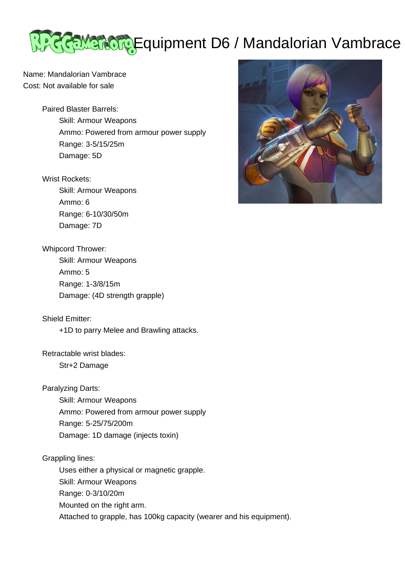## **LEGEMEROR Equipment D6 / Mandalorian Vambrace**

Name: Mandalorian Vambrace Cost: Not available for sale

> Paired Blaster Barrels: Skill: Armour Weapons Ammo: Powered from armour power supply Range: 3-5/15/25m Damage: 5D

## Wrist Rockets:

 Skill: Armour Weapons Ammo: 6 Range: 6-10/30/50m Damage: 7D

## Whipcord Thrower:

 Skill: Armour Weapons Ammo: 5 Range: 1-3/8/15m Damage: (4D strength grapple)

Shield Emitter:

+1D to parry Melee and Brawling attacks.

Retractable wrist blades:

Str+2 Damage

Paralyzing Darts:

 Skill: Armour Weapons Ammo: Powered from armour power supply Range: 5-25/75/200m Damage: 1D damage (injects toxin)

Grappling lines:

 Uses either a physical or magnetic grapple. Skill: Armour Weapons Range: 0-3/10/20m Mounted on the right arm. Attached to grapple, has 100kg capacity (wearer and his equipment).